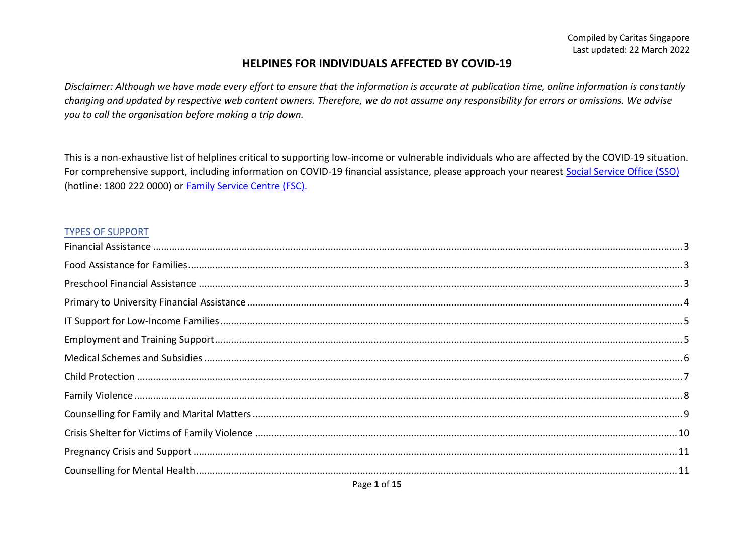#### **HELPINES FOR INDIVIDUALS AFFECTED BY COVID-19**

*Disclaimer: Although we have made every effort to ensure that the information is accurate at publication time, online information is constantly changing and updated by respective web content owners. Therefore, we do not assume any responsibility for errors or omissions. We advise you to call the organisation before making a trip down.* 

This is a non-exhaustive list of helplines critical to supporting low-income or vulnerable individuals who are affected by the COVID-19 situation. For comprehensive support, including information on COVID-19 financial assistance, please approach your nearest [Social Service Office \(SSO\)](https://www.msf.gov.sg/dfcs/sso/default.aspx) (hotline: 1800 222 0000) or [Family Service Centre \(FSC\).](https://www.msf.gov.sg/dfcs/familyservice/default.aspx)

#### TYPES OF SUPPORT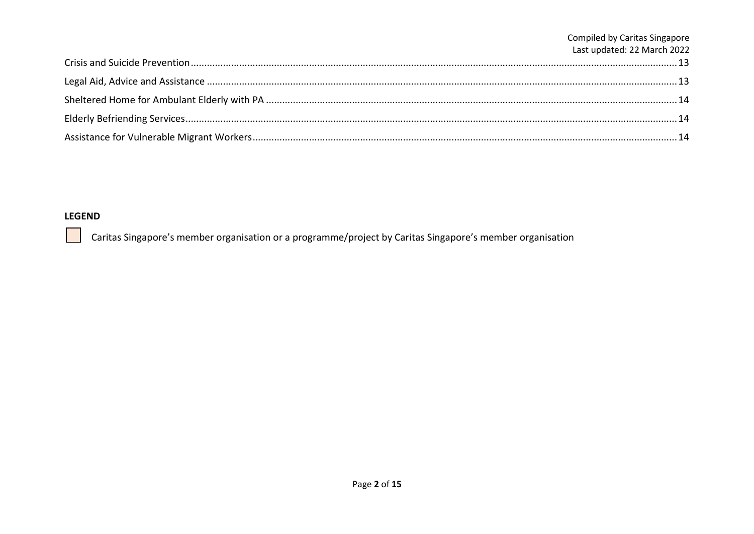| Compiled by Caritas Singapore<br>Last updated: 22 March 2022 |
|--------------------------------------------------------------|
|                                                              |
|                                                              |
|                                                              |
|                                                              |
|                                                              |

#### **LEGEND**

 $\sim 10$ 

Caritas Singapore's member organisation or a programme/project by Caritas Singapore's member organisation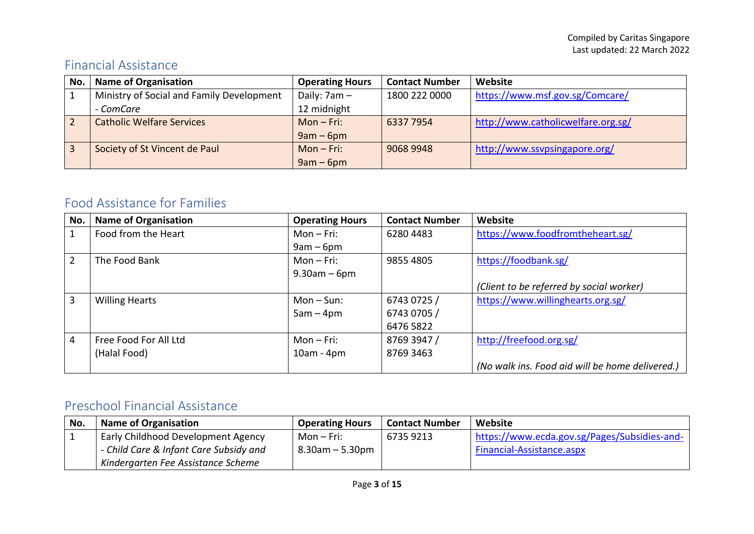#### <span id="page-2-0"></span>Financial Assistance

| No. | <b>Name of Organisation</b>               | <b>Operating Hours</b> | <b>Contact Number</b> | Website                            |
|-----|-------------------------------------------|------------------------|-----------------------|------------------------------------|
|     | Ministry of Social and Family Development | Daily: $7am -$         | 1800 222 0000         | https://www.msf.gov.sg/Comcare/    |
|     | - ComCare                                 | 12 midnight            |                       |                                    |
|     | <b>Catholic Welfare Services</b>          | $Mon-Fri:$             | 6337 7954             | http://www.catholicwelfare.org.sg/ |
|     |                                           | $9am - 6pm$            |                       |                                    |
|     | Society of St Vincent de Paul             | $Mon-Fri:$             | 9068 9948             | http://www.ssypsingapore.org/      |
|     |                                           | $9am - 6pm$            |                       |                                    |

#### <span id="page-2-1"></span>Food Assistance for Families

| No. | <b>Name of Organisation</b> | <b>Operating Hours</b> | <b>Contact Number</b> | Website                                         |
|-----|-----------------------------|------------------------|-----------------------|-------------------------------------------------|
|     | Food from the Heart         | $Mon-Fri:$             | 6280 4483             | https://www.foodfromtheheart.sg/                |
|     |                             | $9am - 6pm$            |                       |                                                 |
| 2   | The Food Bank               | $Mon-Fri:$             | 9855 4805             | https://foodbank.sg/                            |
|     |                             | $9.30$ am – 6pm        |                       |                                                 |
|     |                             |                        |                       | (Client to be referred by social worker)        |
| 3   | <b>Willing Hearts</b>       | $Mon-Sun:$             | 6743 0725 /           | https://www.willinghearts.org.sg/               |
|     |                             | $5am - 4pm$            | 6743 0705 /           |                                                 |
|     |                             |                        | 6476 5822             |                                                 |
| 4   | Free Food For All Ltd       | $Mon-Fri:$             | 8769 3947 /           | http://freefood.org.sg/                         |
|     | (Halal Food)                | $10am - 4pm$           | 8769 3463             |                                                 |
|     |                             |                        |                       | (No walk ins. Food aid will be home delivered.) |

#### <span id="page-2-2"></span>Preschool Financial Assistance

| No. | <b>Name of Organisation</b>               | <b>Operating Hours</b> | <b>Contact Number</b> | Website                                      |
|-----|-------------------------------------------|------------------------|-----------------------|----------------------------------------------|
|     | <b>Early Childhood Development Agency</b> | Mon – Fri:             | 6735 9213             | https://www.ecda.gov.sg/Pages/Subsidies-and- |
|     | - Child Care & Infant Care Subsidy and    | $8.30$ am $-5.30$ pm   |                       | Financial-Assistance.aspx                    |
|     | Kindergarten Fee Assistance Scheme        |                        |                       |                                              |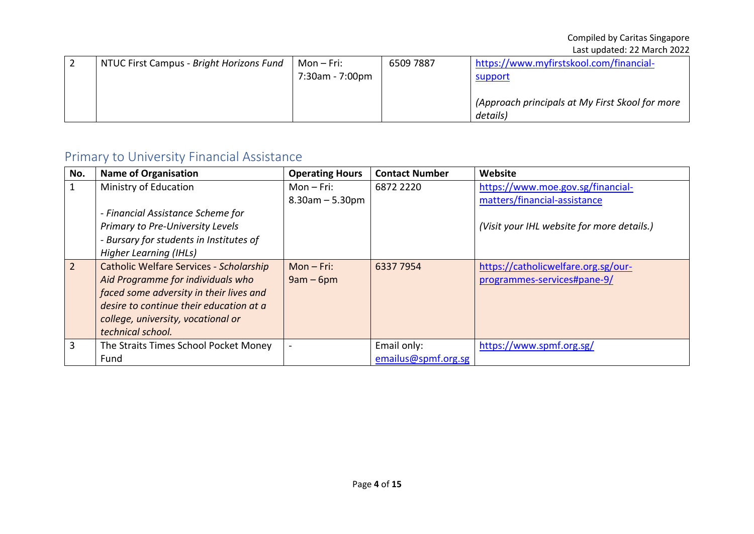| NTUC First Campus - Bright Horizons Fund | Mon $-$ Fri:<br>7:30am - 7:00pm | 6509 7887 | https://www.myfirstskool.com/financial-<br>support          |
|------------------------------------------|---------------------------------|-----------|-------------------------------------------------------------|
|                                          |                                 |           | (Approach principals at My First Skool for more<br>details) |

## <span id="page-3-0"></span>Primary to University Financial Assistance

| No.            | <b>Name of Organisation</b>                    | <b>Operating Hours</b> | <b>Contact Number</b> | Website                                    |
|----------------|------------------------------------------------|------------------------|-----------------------|--------------------------------------------|
|                | Ministry of Education                          | $Mon-Fri:$             | 6872 2220             | https://www.moe.gov.sg/financial-          |
|                |                                                | $8.30$ am $- 5.30$ pm  |                       | matters/financial-assistance               |
|                | - Financial Assistance Scheme for              |                        |                       |                                            |
|                | Primary to Pre-University Levels               |                        |                       | (Visit your IHL website for more details.) |
|                | - Bursary for students in Institutes of        |                        |                       |                                            |
|                | Higher Learning (IHLs)                         |                        |                       |                                            |
| $\overline{2}$ | <b>Catholic Welfare Services - Scholarship</b> | $Mon-Fri:$             | 6337 7954             | https://catholicwelfare.org.sg/our-        |
|                | Aid Programme for individuals who              | $9am - 6pm$            |                       | programmes-services#pane-9/                |
|                | faced some adversity in their lives and        |                        |                       |                                            |
|                | desire to continue their education at a        |                        |                       |                                            |
|                | college, university, vocational or             |                        |                       |                                            |
|                | technical school.                              |                        |                       |                                            |
| 3              | The Straits Times School Pocket Money          |                        | Email only:           | https://www.spmf.org.sg/                   |
|                | Fund                                           |                        | emailus@spmf.org.sg   |                                            |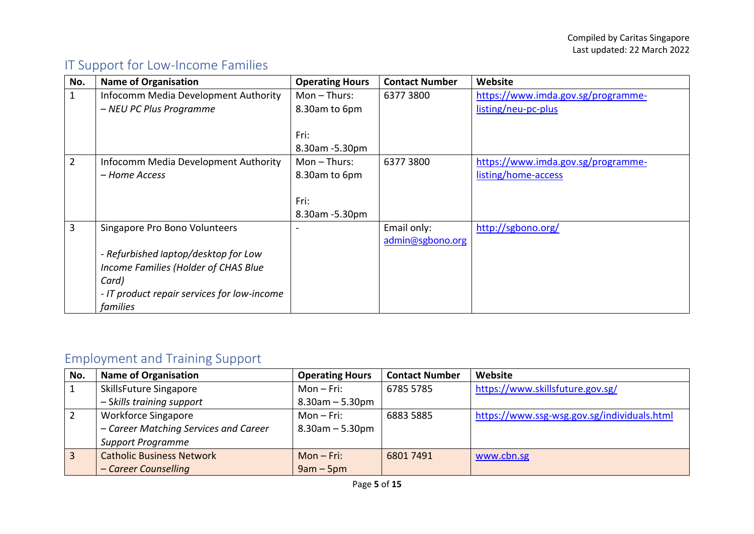## <span id="page-4-0"></span>IT Support for Low-Income Families

| No. | <b>Name of Organisation</b>                 | <b>Operating Hours</b> | <b>Contact Number</b> | Website                            |
|-----|---------------------------------------------|------------------------|-----------------------|------------------------------------|
| 1   | Infocomm Media Development Authority        | $Mon - Thus:$          | 63773800              | https://www.imda.gov.sg/programme- |
|     | - NEU PC Plus Programme                     | 8.30am to 6pm          |                       | listing/neu-pc-plus                |
|     |                                             |                        |                       |                                    |
|     |                                             | Fri:                   |                       |                                    |
|     |                                             | 8.30am -5.30pm         |                       |                                    |
|     | Infocomm Media Development Authority        | $Mon - Thus:$          | 63773800              | https://www.imda.gov.sg/programme- |
|     | - Home Access                               | 8.30am to 6pm          |                       | listing/home-access                |
|     |                                             |                        |                       |                                    |
|     |                                             | Fri:                   |                       |                                    |
|     |                                             | 8.30am -5.30pm         |                       |                                    |
| 3   | Singapore Pro Bono Volunteers               |                        | Email only:           | http://sgbono.org/                 |
|     |                                             |                        | admin@sgbono.org      |                                    |
|     | - Refurbished laptop/desktop for Low        |                        |                       |                                    |
|     | Income Families (Holder of CHAS Blue        |                        |                       |                                    |
|     | Card)                                       |                        |                       |                                    |
|     | - IT product repair services for low-income |                        |                       |                                    |
|     | families                                    |                        |                       |                                    |

## <span id="page-4-1"></span>Employment and Training Support

| No. | <b>Name of Organisation</b>           | <b>Operating Hours</b> | <b>Contact Number</b> | Website                                     |
|-----|---------------------------------------|------------------------|-----------------------|---------------------------------------------|
|     | SkillsFuture Singapore                | $Mon-Fri:$             | 6785 5785             | https://www.skillsfuture.gov.sg/            |
|     | - Skills training support             | $8.30$ am $-5.30$ pm   |                       |                                             |
|     | <b>Workforce Singapore</b>            | $Mon-Fri:$             | 6883 5885             | https://www.ssg-wsg.gov.sg/individuals.html |
|     | - Career Matching Services and Career | $8.30$ am $-5.30$ pm   |                       |                                             |
|     | <b>Support Programme</b>              |                        |                       |                                             |
|     | <b>Catholic Business Network</b>      | $Mon-Fri:$             | 68017491              | www.cbn.sg                                  |
|     | - Career Counselling                  | $9am - 5pm$            |                       |                                             |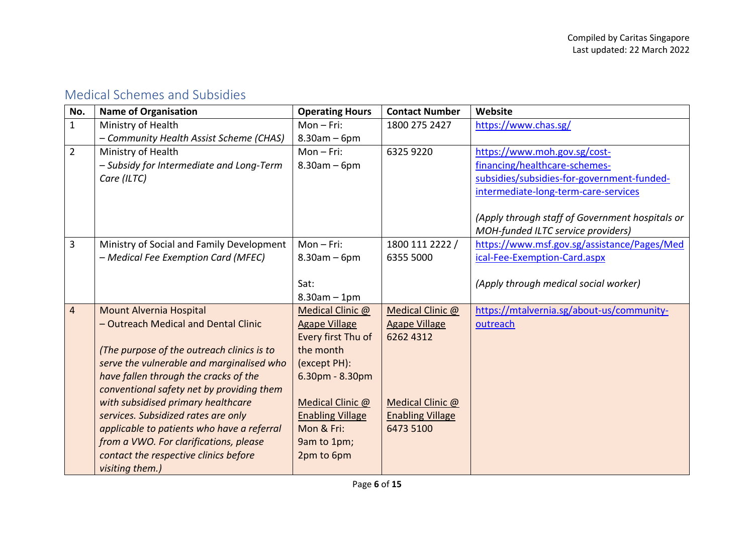#### <span id="page-5-0"></span>Medical Schemes and Subsidies

| No.            | <b>Name of Organisation</b>                | <b>Operating Hours</b>  | <b>Contact Number</b>   | Website                                         |
|----------------|--------------------------------------------|-------------------------|-------------------------|-------------------------------------------------|
| $\mathbf{1}$   | Ministry of Health                         | $Mon-Fri:$              | 1800 275 2427           | https://www.chas.sg/                            |
|                | - Community Health Assist Scheme (CHAS)    | $8.30$ am – 6pm         |                         |                                                 |
| $\overline{2}$ | Ministry of Health                         | $Mon-Fri:$              | 6325 9220               | https://www.moh.gov.sg/cost-                    |
|                | - Subsidy for Intermediate and Long-Term   | $8.30$ am – 6pm         |                         | financing/healthcare-schemes-                   |
|                | Care (ILTC)                                |                         |                         | subsidies/subsidies-for-government-funded-      |
|                |                                            |                         |                         | intermediate-long-term-care-services            |
|                |                                            |                         |                         | (Apply through staff of Government hospitals or |
|                |                                            |                         |                         | MOH-funded ILTC service providers)              |
| 3              | Ministry of Social and Family Development  | $Mon-Fri:$              | 1800 111 2222 /         | https://www.msf.gov.sg/assistance/Pages/Med     |
|                | - Medical Fee Exemption Card (MFEC)        | $8.30$ am – 6pm         | 6355 5000               | ical-Fee-Exemption-Card.aspx                    |
|                |                                            |                         |                         |                                                 |
|                |                                            | Sat:                    |                         | (Apply through medical social worker)           |
|                |                                            | $8.30am - 1pm$          |                         |                                                 |
| $\overline{4}$ | Mount Alvernia Hospital                    | Medical Clinic @        | Medical Clinic @        | https://mtalvernia.sg/about-us/community-       |
|                | - Outreach Medical and Dental Clinic       | <b>Agape Village</b>    | <b>Agape Village</b>    | outreach                                        |
|                |                                            | Every first Thu of      | 6262 4312               |                                                 |
|                | (The purpose of the outreach clinics is to | the month               |                         |                                                 |
|                | serve the vulnerable and marginalised who  | (except PH):            |                         |                                                 |
|                | have fallen through the cracks of the      | $6.30pm - 8.30pm$       |                         |                                                 |
|                | conventional safety net by providing them  |                         |                         |                                                 |
|                | with subsidised primary healthcare         | Medical Clinic @        | Medical Clinic @        |                                                 |
|                | services. Subsidized rates are only        | <b>Enabling Village</b> | <b>Enabling Village</b> |                                                 |
|                | applicable to patients who have a referral | Mon & Fri:              | 6473 5100               |                                                 |
|                | from a VWO. For clarifications, please     | 9am to 1pm;             |                         |                                                 |
|                | contact the respective clinics before      | 2pm to 6pm              |                         |                                                 |
|                | visiting them.)                            |                         |                         |                                                 |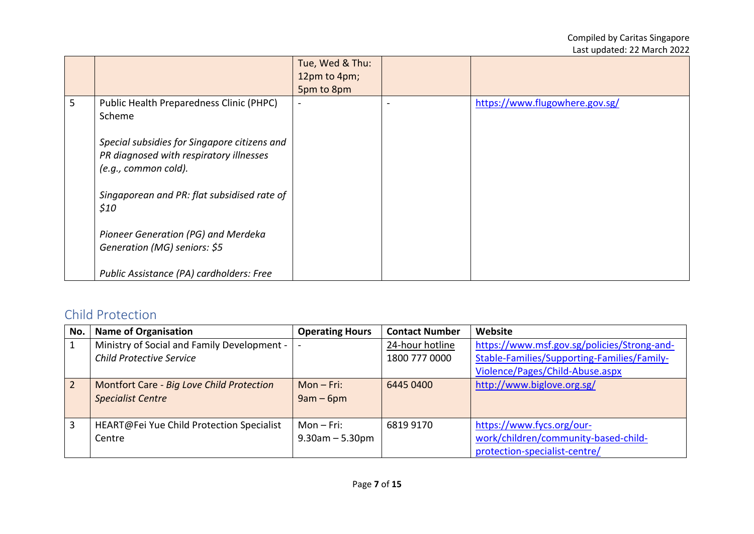|   |                                              | Tue, Wed & Thu:          |                                |
|---|----------------------------------------------|--------------------------|--------------------------------|
|   |                                              | 12pm to 4pm;             |                                |
|   |                                              | 5pm to 8pm               |                                |
| 5 | Public Health Preparedness Clinic (PHPC)     | $\overline{\phantom{a}}$ | https://www.flugowhere.gov.sg/ |
|   | Scheme                                       |                          |                                |
|   |                                              |                          |                                |
|   | Special subsidies for Singapore citizens and |                          |                                |
|   | PR diagnosed with respiratory illnesses      |                          |                                |
|   | (e.g., common cold).                         |                          |                                |
|   |                                              |                          |                                |
|   | Singaporean and PR: flat subsidised rate of  |                          |                                |
|   | \$10                                         |                          |                                |
|   |                                              |                          |                                |
|   | Pioneer Generation (PG) and Merdeka          |                          |                                |
|   | Generation (MG) seniors: \$5                 |                          |                                |
|   |                                              |                          |                                |
|   | Public Assistance (PA) cardholders: Free     |                          |                                |

## <span id="page-6-0"></span>Child Protection

| No.            | <b>Name of Organisation</b>                 | <b>Operating Hours</b> | <b>Contact Number</b> | Website                                     |
|----------------|---------------------------------------------|------------------------|-----------------------|---------------------------------------------|
|                | Ministry of Social and Family Development - |                        | 24-hour hotline       | https://www.msf.gov.sg/policies/Strong-and- |
|                | <b>Child Protective Service</b>             |                        | 1800 777 0000         | Stable-Families/Supporting-Families/Family- |
|                |                                             |                        |                       | Violence/Pages/Child-Abuse.aspx             |
| $\overline{2}$ | Montfort Care - Big Love Child Protection   | $Mon-Fri:$             | 6445 0400             | http://www.biglove.org.sg/                  |
|                | <b>Specialist Centre</b>                    | $9am - 6pm$            |                       |                                             |
|                |                                             |                        |                       |                                             |
| 3              | HEART@Fei Yue Child Protection Specialist   | $Mon-Fri:$             | 6819 9170             | https://www.fycs.org/our-                   |
|                | Centre                                      | $9.30$ am $-5.30$ pm   |                       | work/children/community-based-child-        |
|                |                                             |                        |                       | protection-specialist-centre/               |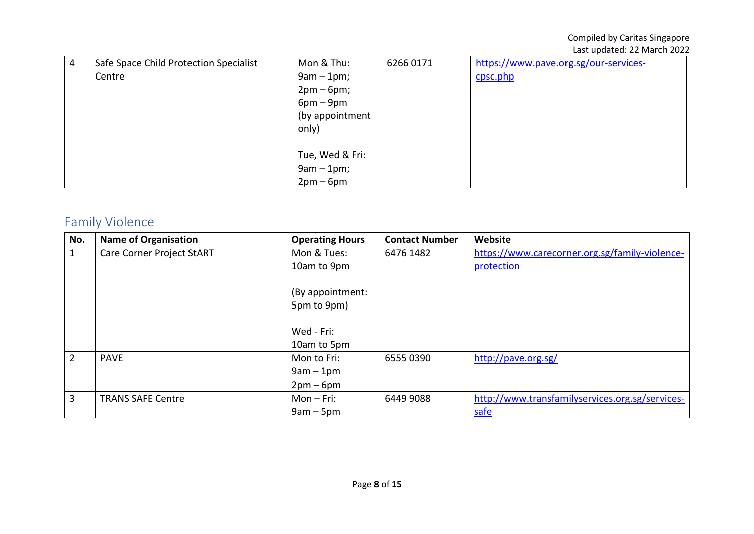| 4 | Safe Space Child Protection Specialist | Mon & Thu:      | 62660171 | https://www.pave.org.sg/our-services- |
|---|----------------------------------------|-----------------|----------|---------------------------------------|
|   | Centre                                 | $9am - 1pm;$    |          | cpsc.php                              |
|   |                                        | $2pm-6pm;$      |          |                                       |
|   |                                        | $6pm-9pm$       |          |                                       |
|   |                                        | (by appointment |          |                                       |
|   |                                        | only)           |          |                                       |
|   |                                        |                 |          |                                       |
|   |                                        | Tue, Wed & Fri: |          |                                       |
|   |                                        | $9am - 1pm;$    |          |                                       |
|   |                                        | $2pm-6pm$       |          |                                       |

# <span id="page-7-0"></span>Family Violence

| No.            | <b>Name of Organisation</b>      | <b>Operating Hours</b> | <b>Contact Number</b> | Website                                         |
|----------------|----------------------------------|------------------------|-----------------------|-------------------------------------------------|
|                | <b>Care Corner Project StART</b> | Mon & Tues:            | 6476 1482             | https://www.carecorner.org.sg/family-violence-  |
|                |                                  | 10am to 9pm            |                       | protection                                      |
|                |                                  |                        |                       |                                                 |
|                |                                  | (By appointment:       |                       |                                                 |
|                |                                  | 5pm to 9pm)            |                       |                                                 |
|                |                                  |                        |                       |                                                 |
|                |                                  | Wed - Fri:             |                       |                                                 |
|                |                                  | 10am to 5pm            |                       |                                                 |
| $\overline{2}$ | <b>PAVE</b>                      | Mon to Fri:            | 6555 0390             | http://pave.org.sg/                             |
|                |                                  | $9am - 1pm$            |                       |                                                 |
|                |                                  | $2pm-6pm$              |                       |                                                 |
| 3              | <b>TRANS SAFE Centre</b>         | $Mon-Fri:$             | 6449 9088             | http://www.transfamilyservices.org.sg/services- |
|                |                                  | $9am - 5pm$            |                       | safe                                            |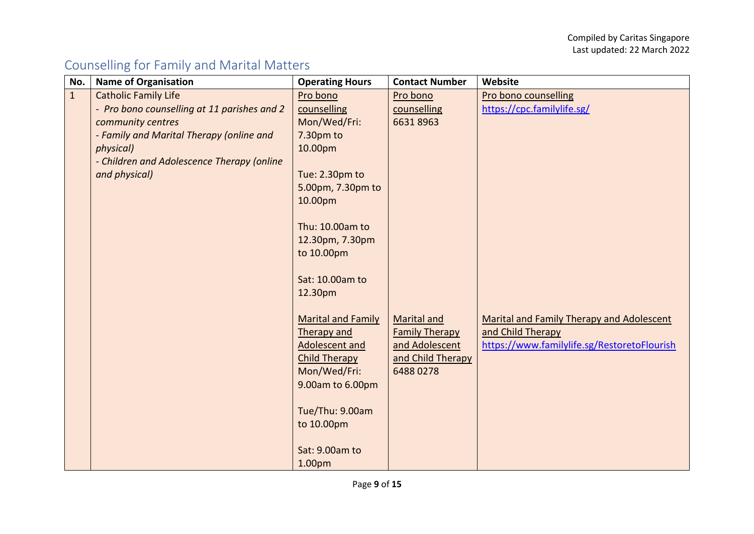# <span id="page-8-0"></span>Counselling for Family and Marital Matters

| No.          | <b>Name of Organisation</b>                 | <b>Operating Hours</b>    | <b>Contact Number</b> | Website                                     |
|--------------|---------------------------------------------|---------------------------|-----------------------|---------------------------------------------|
| $\mathbf{1}$ | <b>Catholic Family Life</b>                 | Pro bono                  | Pro bono              | Pro bono counselling                        |
|              | - Pro bono counselling at 11 parishes and 2 | counselling               | counselling           | https://cpc.familylife.sg/                  |
|              | community centres                           | Mon/Wed/Fri:              | 66318963              |                                             |
|              | - Family and Marital Therapy (online and    | 7.30pm to                 |                       |                                             |
|              | physical)                                   | 10.00pm                   |                       |                                             |
|              | - Children and Adolescence Therapy (online  |                           |                       |                                             |
|              | and physical)                               | Tue: 2.30pm to            |                       |                                             |
|              |                                             | 5.00pm, 7.30pm to         |                       |                                             |
|              |                                             | 10.00pm                   |                       |                                             |
|              |                                             |                           |                       |                                             |
|              |                                             | Thu: 10.00am to           |                       |                                             |
|              |                                             | 12.30pm, 7.30pm           |                       |                                             |
|              |                                             | to 10.00pm                |                       |                                             |
|              |                                             |                           |                       |                                             |
|              |                                             | Sat: 10.00am to           |                       |                                             |
|              |                                             | 12.30pm                   |                       |                                             |
|              |                                             | <b>Marital and Family</b> | <b>Marital and</b>    | Marital and Family Therapy and Adolescent   |
|              |                                             | <b>Therapy and</b>        | <b>Family Therapy</b> | and Child Therapy                           |
|              |                                             | <b>Adolescent and</b>     | and Adolescent        | https://www.familylife.sg/RestoretoFlourish |
|              |                                             | <b>Child Therapy</b>      | and Child Therapy     |                                             |
|              |                                             | Mon/Wed/Fri:              | 6488 0278             |                                             |
|              |                                             | 9.00am to 6.00pm          |                       |                                             |
|              |                                             |                           |                       |                                             |
|              |                                             | Tue/Thu: 9.00am           |                       |                                             |
|              |                                             | to 10.00pm                |                       |                                             |
|              |                                             |                           |                       |                                             |
|              |                                             | Sat: 9.00am to            |                       |                                             |
|              |                                             | 1.00pm                    |                       |                                             |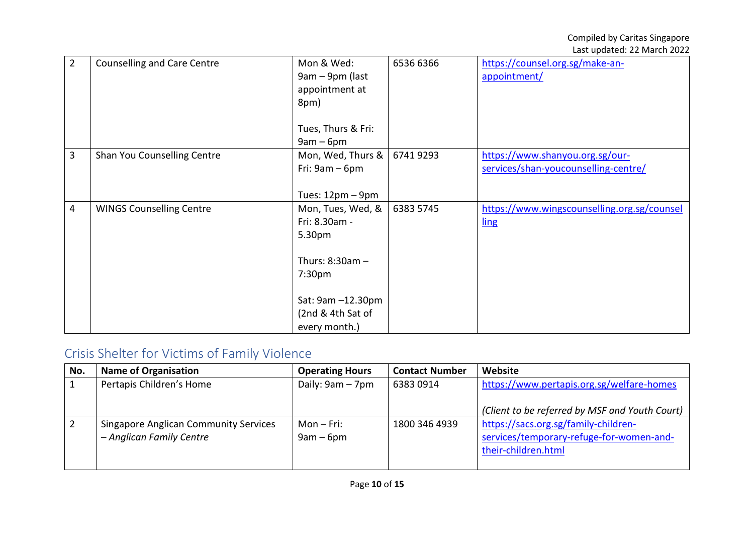| $\overline{2}$ | <b>Counselling and Care Centre</b> | Mon & Wed:         | 6536 6366 | https://counsel.org.sg/make-an-             |
|----------------|------------------------------------|--------------------|-----------|---------------------------------------------|
|                |                                    | 9am – 9pm (last    |           | appointment/                                |
|                |                                    | appointment at     |           |                                             |
|                |                                    | 8pm)               |           |                                             |
|                |                                    |                    |           |                                             |
|                |                                    |                    |           |                                             |
|                |                                    | Tues, Thurs & Fri: |           |                                             |
|                |                                    | $9am - 6pm$        |           |                                             |
| 3              | Shan You Counselling Centre        | Mon, Wed, Thurs &  | 67419293  | https://www.shanyou.org.sg/our-             |
|                |                                    | Fri: $9am - 6pm$   |           | services/shan-youcounselling-centre/        |
|                |                                    |                    |           |                                             |
|                |                                    |                    |           |                                             |
|                |                                    | Tues: $12pm - 9pm$ |           |                                             |
| 4              | <b>WINGS Counselling Centre</b>    | Mon, Tues, Wed, &  | 6383 5745 | https://www.wingscounselling.org.sg/counsel |
|                |                                    | Fri: 8.30am -      |           | ling                                        |
|                |                                    | 5.30pm             |           |                                             |
|                |                                    |                    |           |                                             |
|                |                                    | Thurs: $8:30am -$  |           |                                             |
|                |                                    |                    |           |                                             |
|                |                                    | 7:30pm             |           |                                             |
|                |                                    |                    |           |                                             |
|                |                                    | Sat: 9am -12.30pm  |           |                                             |
|                |                                    | (2nd & 4th Sat of  |           |                                             |
|                |                                    | every month.)      |           |                                             |
|                |                                    |                    |           |                                             |

# <span id="page-9-0"></span>Crisis Shelter for Victims of Family Violence

| No. | <b>Name of Organisation</b>                                              | <b>Operating Hours</b>    | <b>Contact Number</b> | Website                                                                                                 |
|-----|--------------------------------------------------------------------------|---------------------------|-----------------------|---------------------------------------------------------------------------------------------------------|
|     | Pertapis Children's Home                                                 | Daily: 9am - 7pm          | 63830914              | https://www.pertapis.org.sg/welfare-homes<br>(Client to be referred by MSF and Youth Court)             |
|     | <b>Singapore Anglican Community Services</b><br>- Anglican Family Centre | Mon – Fri:<br>$9am - 6pm$ | 1800 346 4939         | https://sacs.org.sg/family-children-<br>services/temporary-refuge-for-women-and-<br>their-children.html |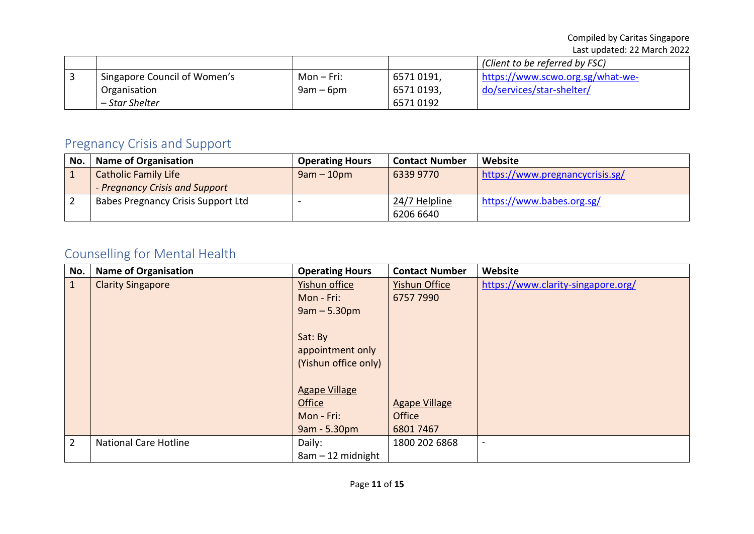|                              |             |           | (Client to be referred by FSC)   |
|------------------------------|-------------|-----------|----------------------------------|
| Singapore Council of Women's | Mon – Fri:  | 65710191, | https://www.scwo.org.sg/what-we- |
| Organisation                 | $9am - 6pm$ | 65710193, | do/services/star-shelter/        |
| – Star Shelter               |             | 65710192  |                                  |

## <span id="page-10-0"></span>Pregnancy Crisis and Support

| No. | <b>Name of Organisation</b>        | <b>Operating Hours</b> | <b>Contact Number</b> | Website                         |
|-----|------------------------------------|------------------------|-----------------------|---------------------------------|
|     | <b>Catholic Family Life</b>        | $9am - 10pm$           | 6339 9770             | https://www.pregnancycrisis.sg/ |
|     | - Pregnancy Crisis and Support     |                        |                       |                                 |
|     | Babes Pregnancy Crisis Support Ltd |                        | 24/7 Helpline         | https://www.babes.org.sg/       |
|     |                                    |                        | 6206 6640             |                                 |

# <span id="page-10-1"></span>Counselling for Mental Health

| No.            | <b>Name of Organisation</b>  | <b>Operating Hours</b> | <b>Contact Number</b> | Website                            |
|----------------|------------------------------|------------------------|-----------------------|------------------------------------|
| $\mathbf{1}$   | <b>Clarity Singapore</b>     | Yishun office          | <b>Yishun Office</b>  | https://www.clarity-singapore.org/ |
|                |                              | Mon - Fri:             | 6757 7990             |                                    |
|                |                              | $9am - 5.30pm$         |                       |                                    |
|                |                              |                        |                       |                                    |
|                |                              | Sat: By                |                       |                                    |
|                |                              | appointment only       |                       |                                    |
|                |                              | (Yishun office only)   |                       |                                    |
|                |                              |                        |                       |                                    |
|                |                              | <b>Agape Village</b>   |                       |                                    |
|                |                              | Office                 | <b>Agape Village</b>  |                                    |
|                |                              | Mon - Fri:             | <b>Office</b>         |                                    |
|                |                              | 9am - 5.30pm           | 68017467              |                                    |
| $\overline{2}$ | <b>National Care Hotline</b> | Daily:                 | 1800 202 6868         |                                    |
|                |                              | $8am - 12$ midnight    |                       |                                    |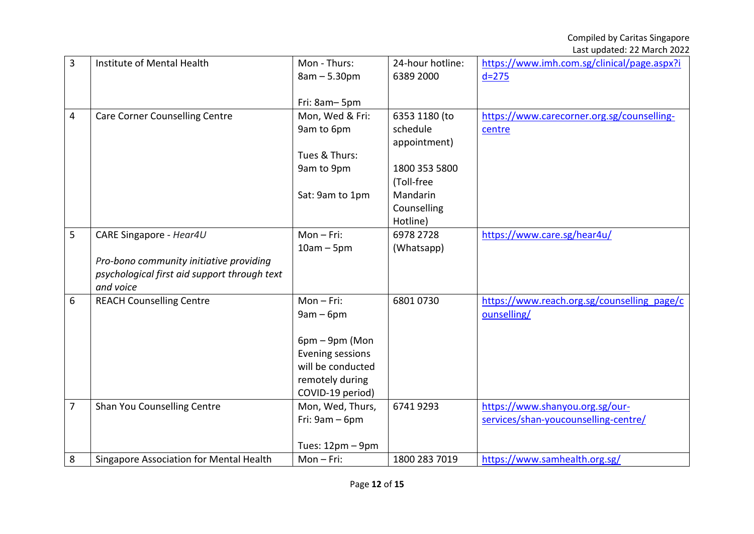| 3              | Institute of Mental Health                   | Mon - Thurs:       | 24-hour hotline: | https://www.imh.com.sg/clinical/page.aspx?i |
|----------------|----------------------------------------------|--------------------|------------------|---------------------------------------------|
|                |                                              | $8am - 5.30pm$     | 6389 2000        | $d = 275$                                   |
|                |                                              |                    |                  |                                             |
|                |                                              | Fri: 8am-5pm       |                  |                                             |
| 4              | <b>Care Corner Counselling Centre</b>        | Mon, Wed & Fri:    | 6353 1180 (to    | https://www.carecorner.org.sg/counselling-  |
|                |                                              | 9am to 6pm         | schedule         | centre                                      |
|                |                                              |                    | appointment)     |                                             |
|                |                                              | Tues & Thurs:      |                  |                                             |
|                |                                              | 9am to 9pm         | 1800 353 5800    |                                             |
|                |                                              |                    | (Toll-free       |                                             |
|                |                                              | Sat: 9am to 1pm    | Mandarin         |                                             |
|                |                                              |                    | Counselling      |                                             |
|                |                                              |                    | Hotline)         |                                             |
| 5              | CARE Singapore - Hear4U                      | $Mon-Fri:$         | 6978 2728        | https://www.care.sg/hear4u/                 |
|                |                                              | $10am - 5pm$       | (Whatsapp)       |                                             |
|                | Pro-bono community initiative providing      |                    |                  |                                             |
|                | psychological first aid support through text |                    |                  |                                             |
|                | and voice                                    |                    |                  |                                             |
| 6              | <b>REACH Counselling Centre</b>              | $Mon-Fri:$         | 68010730         | https://www.reach.org.sg/counselling page/c |
|                |                                              | $9am - 6pm$        |                  | ounselling/                                 |
|                |                                              |                    |                  |                                             |
|                |                                              | 6pm - 9pm (Mon     |                  |                                             |
|                |                                              | Evening sessions   |                  |                                             |
|                |                                              | will be conducted  |                  |                                             |
|                |                                              | remotely during    |                  |                                             |
|                |                                              | COVID-19 period)   |                  |                                             |
| $\overline{7}$ | Shan You Counselling Centre                  | Mon, Wed, Thurs,   | 67419293         | https://www.shanyou.org.sg/our-             |
|                |                                              | Fri: $9am - 6pm$   |                  | services/shan-youcounselling-centre/        |
|                |                                              |                    |                  |                                             |
|                |                                              | Tues: $12pm - 9pm$ |                  |                                             |
| 8              | Singapore Association for Mental Health      | $Mon-Fri:$         | 1800 283 7019    | https://www.samhealth.org.sg/               |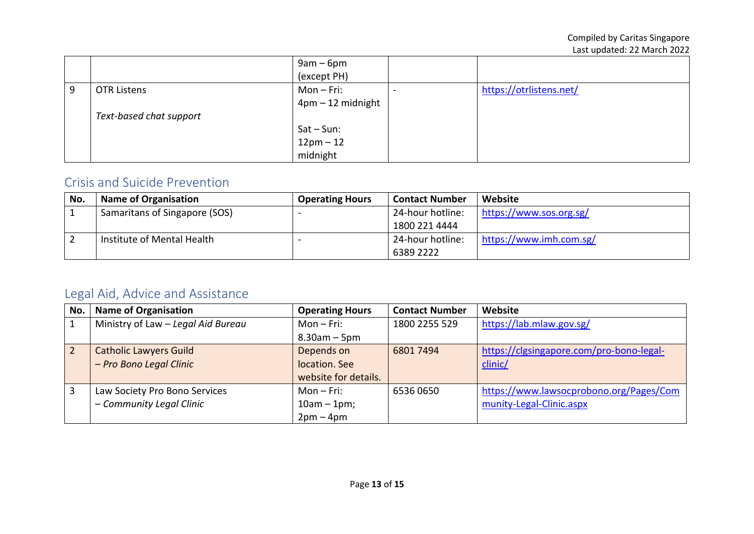|   |                         | $9am - 6pm$<br>(except PH) |                         |
|---|-------------------------|----------------------------|-------------------------|
| 9 | <b>OTR Listens</b>      | Mon – Fri:                 | https://otrlistens.net/ |
|   |                         | $4$ pm $-12$ midnight      |                         |
|   | Text-based chat support |                            |                         |
|   |                         | Sat – Sun:                 |                         |
|   |                         | $12pm - 12$                |                         |
|   |                         | midnight                   |                         |

#### <span id="page-12-0"></span>Crisis and Suicide Prevention

| No. | <b>Name of Organisation</b>   | <b>Operating Hours</b> | <b>Contact Number</b> | Website                 |
|-----|-------------------------------|------------------------|-----------------------|-------------------------|
|     | Samaritans of Singapore (SOS) |                        | 24-hour hotline:      | https://www.sos.org.sg/ |
|     |                               |                        | 1800 221 4444         |                         |
|     | Institute of Mental Health    |                        | 24-hour hotline:      | https://www.imh.com.sg/ |
|     |                               |                        | 6389 2222             |                         |

## <span id="page-12-1"></span>Legal Aid, Advice and Assistance

| No.            | <b>Name of Organisation</b>        | <b>Operating Hours</b> | <b>Contact Number</b> | Website                                  |
|----------------|------------------------------------|------------------------|-----------------------|------------------------------------------|
|                | Ministry of Law - Legal Aid Bureau | $Mon-Fri:$             | 1800 2255 529         | https://lab.mlaw.gov.sg/                 |
|                |                                    | $8.30$ am – 5pm        |                       |                                          |
| $\overline{2}$ | <b>Catholic Lawyers Guild</b>      | Depends on             | 6801 7494             | https://clgsingapore.com/pro-bono-legal- |
|                | - Pro Bono Legal Clinic            | location. See          |                       | clinic/                                  |
|                |                                    | website for details.   |                       |                                          |
|                | Law Society Pro Bono Services      | $Mon-Fri:$             | 65360650              | https://www.lawsocprobono.org/Pages/Com  |
|                | - Community Legal Clinic           | $10am - 1pm;$          |                       | munity-Legal-Clinic.aspx                 |
|                |                                    | $2pm-4pm$              |                       |                                          |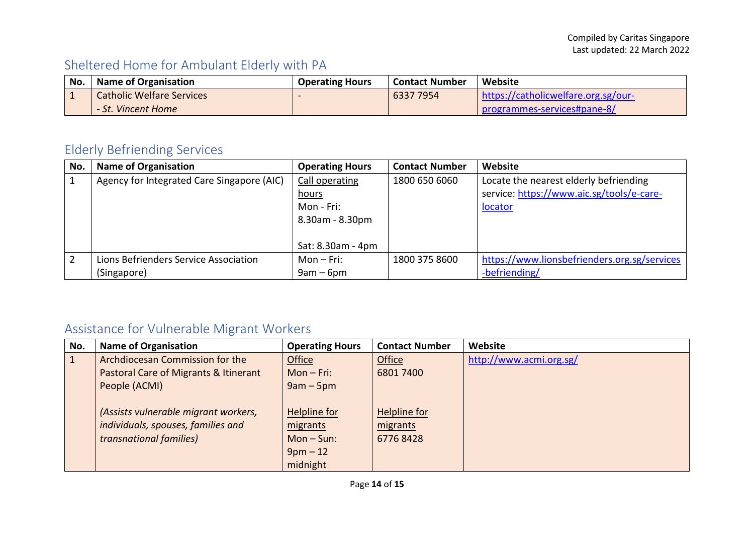## <span id="page-13-0"></span>Sheltered Home for Ambulant Elderly with PA

| No. | <b>Name of Organisation</b>      | <b>Operating Hours</b> | <b>Contact Number</b> | Website                             |
|-----|----------------------------------|------------------------|-----------------------|-------------------------------------|
|     | <b>Catholic Welfare Services</b> |                        | 6337 7954             | https://catholicwelfare.org.sg/our- |
|     | - St. Vincent Home               |                        |                       | programmes-services#pane-8/         |

## <span id="page-13-1"></span>Elderly Befriending Services

| No. | <b>Name of Organisation</b>                | <b>Operating Hours</b> | <b>Contact Number</b> | Website                                      |
|-----|--------------------------------------------|------------------------|-----------------------|----------------------------------------------|
|     | Agency for Integrated Care Singapore (AIC) | Call operating         | 1800 650 6060         | Locate the nearest elderly befriending       |
|     |                                            | <u>hours</u>           |                       | service: https://www.aic.sg/tools/e-care-    |
|     |                                            | Mon - Fri:             |                       | locator                                      |
|     |                                            | 8.30am - 8.30pm        |                       |                                              |
|     |                                            |                        |                       |                                              |
|     |                                            | Sat: 8.30am - 4pm      |                       |                                              |
|     | Lions Befrienders Service Association      | Mon – Fri:             | 1800 375 8600         | https://www.lionsbefrienders.org.sg/services |
|     | (Singapore)                                | $9am - 6pm$            |                       | -befriending/                                |

## <span id="page-13-2"></span>Assistance for Vulnerable Migrant Workers

| No. | <b>Name of Organisation</b>           | <b>Operating Hours</b> | <b>Contact Number</b> | Website                 |
|-----|---------------------------------------|------------------------|-----------------------|-------------------------|
|     | Archdiocesan Commission for the       | Office                 | Office                | http://www.acmi.org.sg/ |
|     | Pastoral Care of Migrants & Itinerant | $Mon-Fri:$             | 6801 7400             |                         |
|     | People (ACMI)                         | $9am - 5pm$            |                       |                         |
|     |                                       |                        |                       |                         |
|     | (Assists vulnerable migrant workers,  | Helpline for           | Helpline for          |                         |
|     | individuals, spouses, families and    | migrants               | migrants              |                         |
|     | transnational families)               | $Mon-Sun:$             | 67768428              |                         |
|     |                                       | $9pm-12$               |                       |                         |
|     |                                       | midnight               |                       |                         |